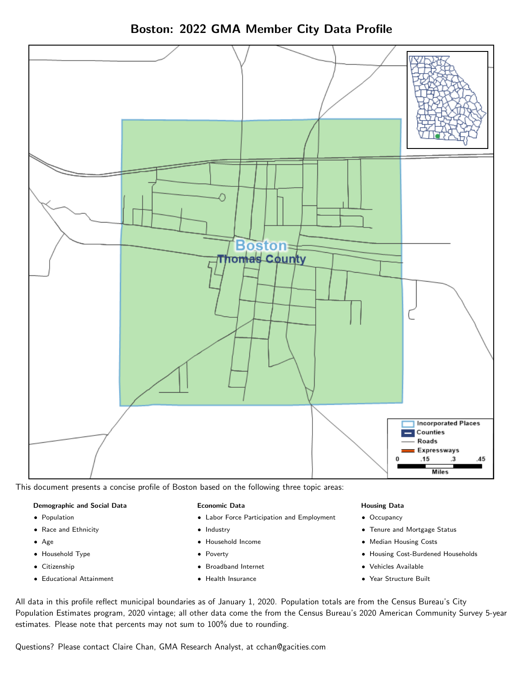Boston: 2022 GMA Member City Data Profile



This document presents a concise profile of Boston based on the following three topic areas:

#### Demographic and Social Data

- **•** Population
- Race and Ethnicity
- Age
- Household Type
- **Citizenship**
- Educational Attainment

#### Economic Data

- Labor Force Participation and Employment
- Industry
- Household Income
- Poverty
- Broadband Internet
- Health Insurance

#### Housing Data

- Occupancy
- Tenure and Mortgage Status
- Median Housing Costs
- Housing Cost-Burdened Households
- Vehicles Available
- Year Structure Built

All data in this profile reflect municipal boundaries as of January 1, 2020. Population totals are from the Census Bureau's City Population Estimates program, 2020 vintage; all other data come the from the Census Bureau's 2020 American Community Survey 5-year estimates. Please note that percents may not sum to 100% due to rounding.

Questions? Please contact Claire Chan, GMA Research Analyst, at [cchan@gacities.com.](mailto:cchan@gacities.com)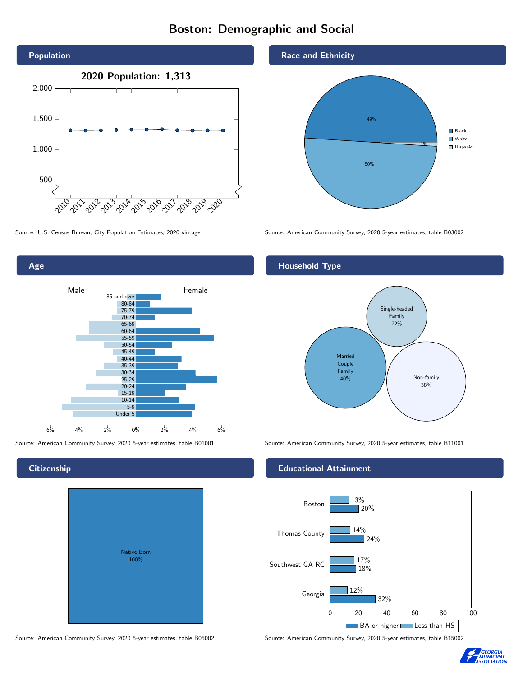# Boston: Demographic and Social





Source: American Community Survey, 2020 5-year estimates, table B01001 Source: American Community Survey, 2020 5-year estimates, table B11001

# **Citizenship**

| Native Born<br>100% |  |
|---------------------|--|

Race and Ethnicity



Source: U.S. Census Bureau, City Population Estimates, 2020 vintage Source: American Community Survey, 2020 5-year estimates, table B03002

## Household Type



#### Educational Attainment



Source: American Community Survey, 2020 5-year estimates, table B05002 Source: American Community Survey, 2020 5-year estimates, table B15002

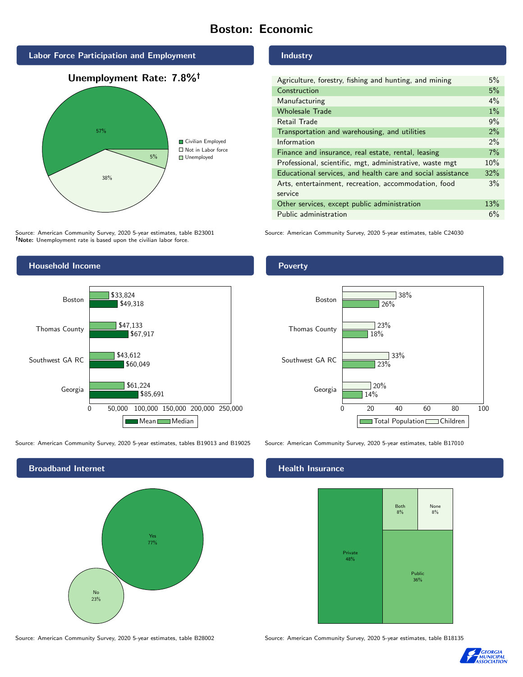# Boston: Economic





Source: American Community Survey, 2020 5-year estimates, table B23001 Note: Unemployment rate is based upon the civilian labor force.

# Industry

| Agriculture, forestry, fishing and hunting, and mining      | $5\%$ |
|-------------------------------------------------------------|-------|
| Construction                                                | 5%    |
| Manufacturing                                               | 4%    |
| <b>Wholesale Trade</b>                                      | $1\%$ |
| Retail Trade                                                | 9%    |
| Transportation and warehousing, and utilities               | 2%    |
| Information                                                 | $2\%$ |
| Finance and insurance, real estate, rental, leasing         | 7%    |
| Professional, scientific, mgt, administrative, waste mgt    | 10%   |
| Educational services, and health care and social assistance | 32%   |
| Arts, entertainment, recreation, accommodation, food        | 3%    |
| service                                                     |       |
| Other services, except public administration                |       |
| Public administration                                       | 6%    |

Source: American Community Survey, 2020 5-year estimates, table C24030



Source: American Community Survey, 2020 5-year estimates, tables B19013 and B19025 Source: American Community Survey, 2020 5-year estimates, table B17010



## Poverty



#### Health Insurance



Source: American Community Survey, 2020 5-year estimates, table B28002 Source: American Community Survey, 2020 5-year estimates, table B18135